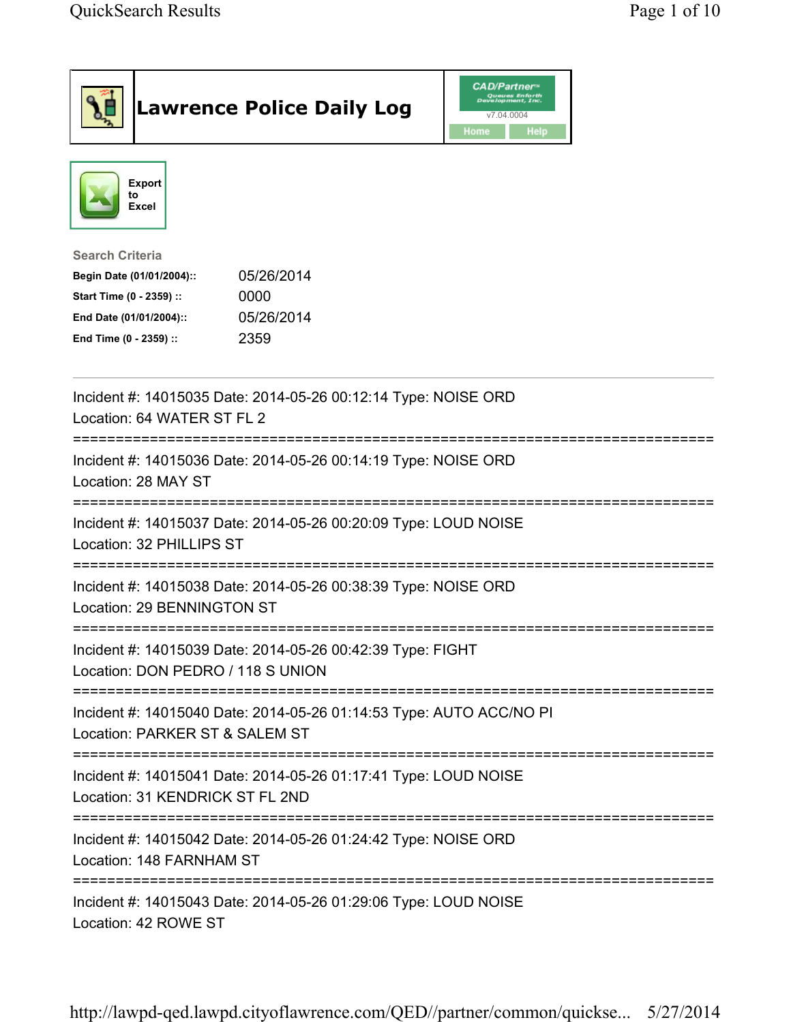|                                                                                                                                      | <b>Lawrence Police Daily Log</b>                                    | <b>CAD/Partner</b> "<br>Queues Enforth<br>Development, Inc.<br>v7.04.0004<br>Home<br>Help |  |
|--------------------------------------------------------------------------------------------------------------------------------------|---------------------------------------------------------------------|-------------------------------------------------------------------------------------------|--|
| <b>Export</b><br>to<br>Excel                                                                                                         |                                                                     |                                                                                           |  |
| <b>Search Criteria</b><br>Begin Date (01/01/2004)::<br>Start Time (0 - 2359) ::<br>End Date (01/01/2004)::<br>End Time (0 - 2359) :: | 05/26/2014<br>0000<br>05/26/2014<br>2359                            |                                                                                           |  |
| Location: 64 WATER ST FL 2                                                                                                           | Incident #: 14015035 Date: 2014-05-26 00:12:14 Type: NOISE ORD      |                                                                                           |  |
| Location: 28 MAY ST                                                                                                                  | Incident #: 14015036 Date: 2014-05-26 00:14:19 Type: NOISE ORD      |                                                                                           |  |
| Location: 32 PHILLIPS ST                                                                                                             | Incident #: 14015037 Date: 2014-05-26 00:20:09 Type: LOUD NOISE     |                                                                                           |  |
| Location: 29 BENNINGTON ST                                                                                                           | Incident #: 14015038 Date: 2014-05-26 00:38:39 Type: NOISE ORD      |                                                                                           |  |
| Location: DON PEDRO / 118 S UNION                                                                                                    | Incident #: 14015039 Date: 2014-05-26 00:42:39 Type: FIGHT          |                                                                                           |  |
| Location: PARKER ST & SALEM ST                                                                                                       | Incident #: 14015040 Date: 2014-05-26 01:14:53 Type: AUTO ACC/NO PI |                                                                                           |  |
| Location: 31 KENDRICK ST FL 2ND                                                                                                      | Incident #: 14015041 Date: 2014-05-26 01:17:41 Type: LOUD NOISE     |                                                                                           |  |
| Location: 148 FARNHAM ST                                                                                                             | Incident #: 14015042 Date: 2014-05-26 01:24:42 Type: NOISE ORD      |                                                                                           |  |
| .------------------------------<br>Location: 42 ROWE ST                                                                              | Incident #: 14015043 Date: 2014-05-26 01:29:06 Type: LOUD NOISE     |                                                                                           |  |

http://lawpd-qed.lawpd.cityoflawrence.com/QED//partner/common/quickse... 5/27/2014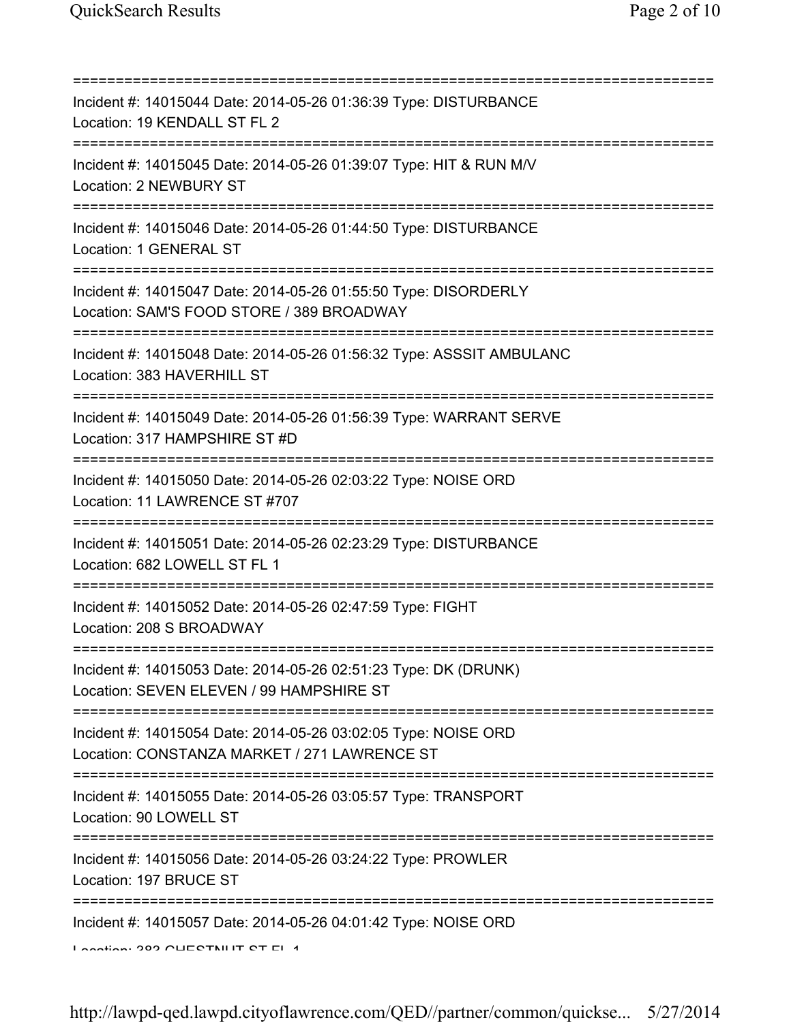=========================================================================== Incident #: 14015044 Date: 2014-05-26 01:36:39 Type: DISTURBANCE Location: 19 KENDALL ST FL 2 =========================================================================== Incident #: 14015045 Date: 2014-05-26 01:39:07 Type: HIT & RUN M/V Location: 2 NEWBURY ST =========================================================================== Incident #: 14015046 Date: 2014-05-26 01:44:50 Type: DISTURBANCE Location: 1 GENERAL ST =========================================================================== Incident #: 14015047 Date: 2014-05-26 01:55:50 Type: DISORDERLY Location: SAM'S FOOD STORE / 389 BROADWAY =========================================================================== Incident #: 14015048 Date: 2014-05-26 01:56:32 Type: ASSSIT AMBULANC Location: 383 HAVERHILL ST =========================================================================== Incident #: 14015049 Date: 2014-05-26 01:56:39 Type: WARRANT SERVE Location: 317 HAMPSHIRE ST #D =========================================================================== Incident #: 14015050 Date: 2014-05-26 02:03:22 Type: NOISE ORD Location: 11 LAWRENCE ST #707 =========================================================================== Incident #: 14015051 Date: 2014-05-26 02:23:29 Type: DISTURBANCE Location: 682 LOWELL ST FL 1 =========================================================================== Incident #: 14015052 Date: 2014-05-26 02:47:59 Type: FIGHT Location: 208 S BROADWAY =========================================================================== Incident #: 14015053 Date: 2014-05-26 02:51:23 Type: DK (DRUNK) Location: SEVEN ELEVEN / 99 HAMPSHIRE ST =========================================================================== Incident #: 14015054 Date: 2014-05-26 03:02:05 Type: NOISE ORD Location: CONSTANZA MARKET / 271 LAWRENCE ST =========================================================================== Incident #: 14015055 Date: 2014-05-26 03:05:57 Type: TRANSPORT Location: 90 LOWELL ST =========================================================================== Incident #: 14015056 Date: 2014-05-26 03:24:22 Type: PROWLER Location: 197 BRUCE ST =========================================================================== Incident #: 14015057 Date: 2014-05-26 04:01:42 Type: NOISE ORD Location: 202 CHESTNUIT ST EL 1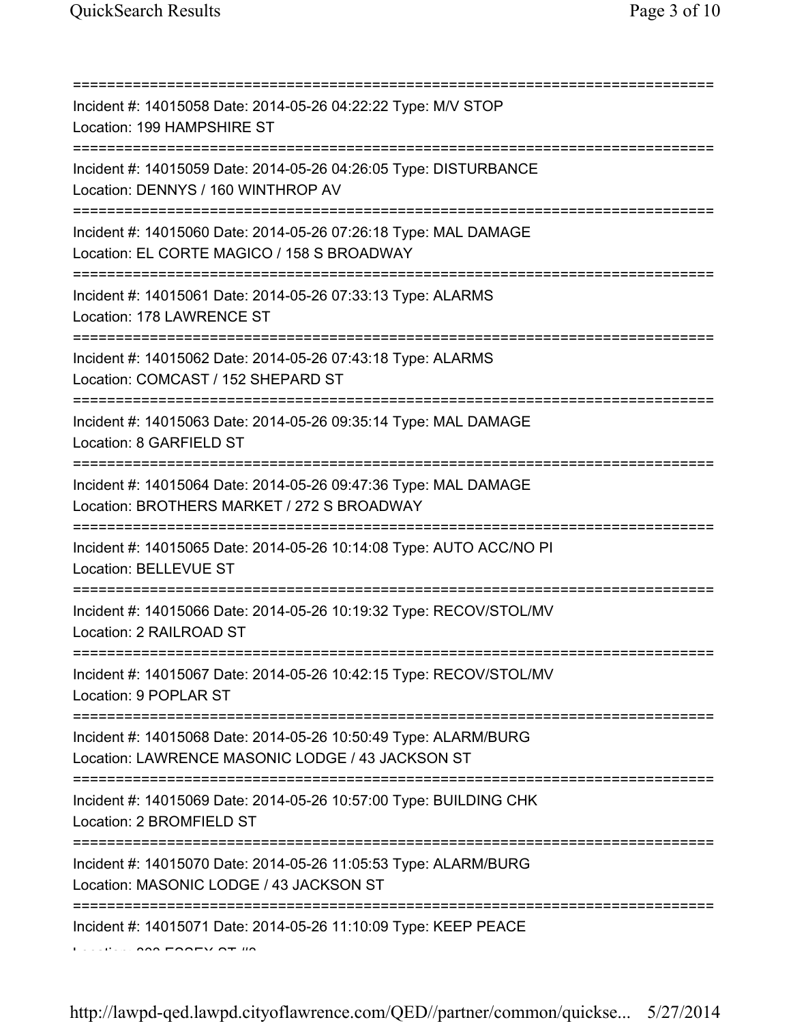| Incident #: 14015058 Date: 2014-05-26 04:22:22 Type: M/V STOP<br>Location: 199 HAMPSHIRE ST<br>;================================== |
|------------------------------------------------------------------------------------------------------------------------------------|
| Incident #: 14015059 Date: 2014-05-26 04:26:05 Type: DISTURBANCE<br>Location: DENNYS / 160 WINTHROP AV                             |
| Incident #: 14015060 Date: 2014-05-26 07:26:18 Type: MAL DAMAGE<br>Location: EL CORTE MAGICO / 158 S BROADWAY                      |
| Incident #: 14015061 Date: 2014-05-26 07:33:13 Type: ALARMS<br>Location: 178 LAWRENCE ST                                           |
| Incident #: 14015062 Date: 2014-05-26 07:43:18 Type: ALARMS<br>Location: COMCAST / 152 SHEPARD ST                                  |
| Incident #: 14015063 Date: 2014-05-26 09:35:14 Type: MAL DAMAGE<br>Location: 8 GARFIELD ST                                         |
| Incident #: 14015064 Date: 2014-05-26 09:47:36 Type: MAL DAMAGE<br>Location: BROTHERS MARKET / 272 S BROADWAY                      |
| Incident #: 14015065 Date: 2014-05-26 10:14:08 Type: AUTO ACC/NO PI<br><b>Location: BELLEVUE ST</b>                                |
| Incident #: 14015066 Date: 2014-05-26 10:19:32 Type: RECOV/STOL/MV<br>Location: 2 RAILROAD ST                                      |
| Incident #: 14015067 Date: 2014-05-26 10:42:15 Type: RECOV/STOL/MV<br>Location: 9 POPLAR ST                                        |
| Incident #: 14015068 Date: 2014-05-26 10:50:49 Type: ALARM/BURG<br>Location: LAWRENCE MASONIC LODGE / 43 JACKSON ST                |
| Incident #: 14015069 Date: 2014-05-26 10:57:00 Type: BUILDING CHK<br>Location: 2 BROMFIELD ST                                      |
| Incident #: 14015070 Date: 2014-05-26 11:05:53 Type: ALARM/BURG<br>Location: MASONIC LODGE / 43 JACKSON ST                         |
| Incident #: 14015071 Date: 2014-05-26 11:10:09 Type: KEEP PEACE                                                                    |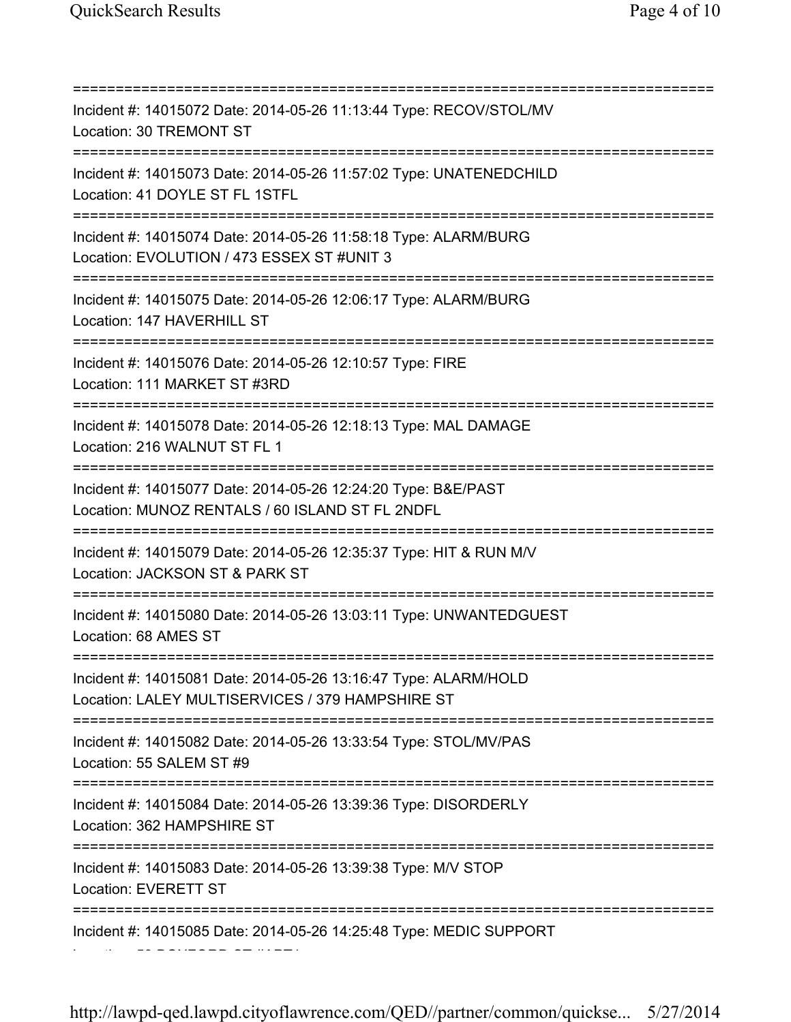=========================================================================== Incident #: 14015072 Date: 2014-05-26 11:13:44 Type: RECOV/STOL/MV Location: 30 TREMONT ST =========================================================================== Incident #: 14015073 Date: 2014-05-26 11:57:02 Type: UNATENEDCHILD Location: 41 DOYLE ST FL 1STFL =========================================================================== Incident #: 14015074 Date: 2014-05-26 11:58:18 Type: ALARM/BURG Location: EVOLUTION / 473 ESSEX ST #UNIT 3 =========================================================================== Incident #: 14015075 Date: 2014-05-26 12:06:17 Type: ALARM/BURG Location: 147 HAVERHILL ST =========================================================================== Incident #: 14015076 Date: 2014-05-26 12:10:57 Type: FIRE Location: 111 MARKET ST #3RD =========================================================================== Incident #: 14015078 Date: 2014-05-26 12:18:13 Type: MAL DAMAGE Location: 216 WALNUT ST FL 1 =========================================================================== Incident #: 14015077 Date: 2014-05-26 12:24:20 Type: B&E/PAST Location: MUNOZ RENTALS / 60 ISLAND ST FL 2NDFL =========================================================================== Incident #: 14015079 Date: 2014-05-26 12:35:37 Type: HIT & RUN M/V Location: JACKSON ST & PARK ST =========================================================================== Incident #: 14015080 Date: 2014-05-26 13:03:11 Type: UNWANTEDGUEST Location: 68 AMES ST =========================================================================== Incident #: 14015081 Date: 2014-05-26 13:16:47 Type: ALARM/HOLD Location: LALEY MULTISERVICES / 379 HAMPSHIRE ST =========================================================================== Incident #: 14015082 Date: 2014-05-26 13:33:54 Type: STOL/MV/PAS Location: 55 SALEM ST #9 =========================================================================== Incident #: 14015084 Date: 2014-05-26 13:39:36 Type: DISORDERLY Location: 362 HAMPSHIRE ST =========================================================================== Incident #: 14015083 Date: 2014-05-26 13:39:38 Type: M/V STOP Location: EVERETT ST =========================================================================== Incident #: 14015085 Date: 2014-05-26 14:25:48 Type: MEDIC SUPPORT Location: 53 BOXFORD ST #APT1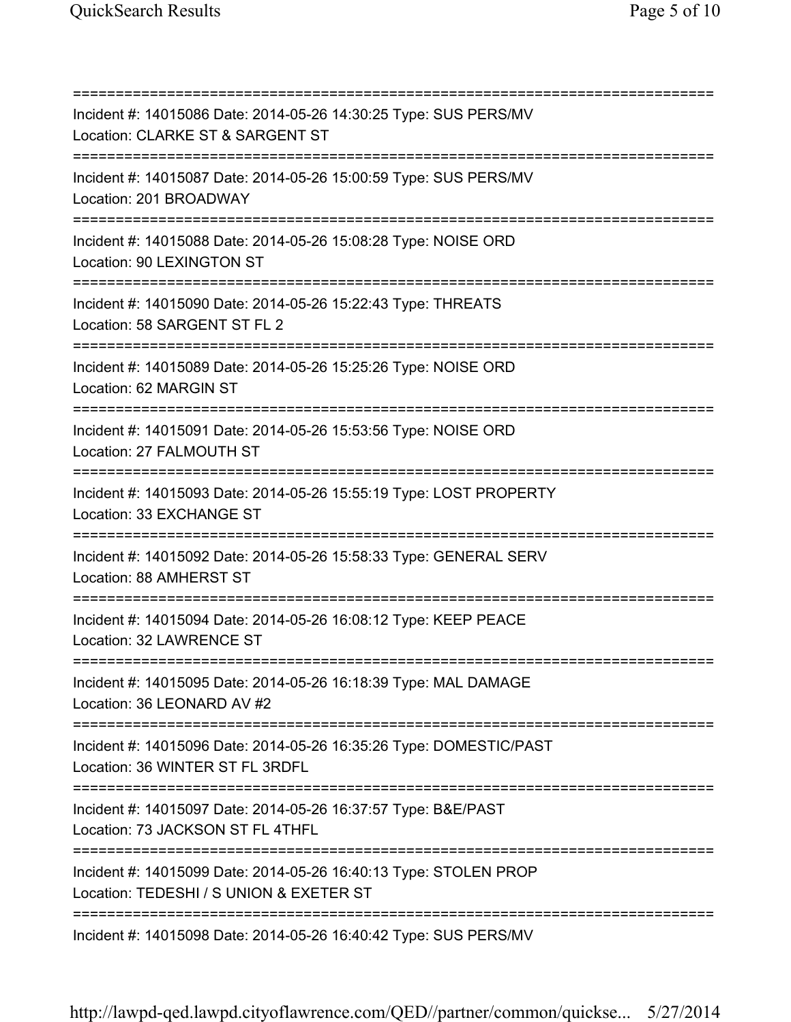=========================================================================== Incident #: 14015086 Date: 2014-05-26 14:30:25 Type: SUS PERS/MV Location: CLARKE ST & SARGENT ST =========================================================================== Incident #: 14015087 Date: 2014-05-26 15:00:59 Type: SUS PERS/MV Location: 201 BROADWAY =========================================================================== Incident #: 14015088 Date: 2014-05-26 15:08:28 Type: NOISE ORD Location: 90 LEXINGTON ST =========================================================================== Incident #: 14015090 Date: 2014-05-26 15:22:43 Type: THREATS Location: 58 SARGENT ST FL 2 =========================================================================== Incident #: 14015089 Date: 2014-05-26 15:25:26 Type: NOISE ORD Location: 62 MARGIN ST =========================================================================== Incident #: 14015091 Date: 2014-05-26 15:53:56 Type: NOISE ORD Location: 27 FALMOUTH ST =========================================================================== Incident #: 14015093 Date: 2014-05-26 15:55:19 Type: LOST PROPERTY Location: 33 EXCHANGE ST =========================================================================== Incident #: 14015092 Date: 2014-05-26 15:58:33 Type: GENERAL SERV Location: 88 AMHERST ST =========================================================================== Incident #: 14015094 Date: 2014-05-26 16:08:12 Type: KEEP PEACE Location: 32 LAWRENCE ST =========================================================================== Incident #: 14015095 Date: 2014-05-26 16:18:39 Type: MAL DAMAGE Location: 36 LEONARD AV #2 =========================================================================== Incident #: 14015096 Date: 2014-05-26 16:35:26 Type: DOMESTIC/PAST Location: 36 WINTER ST FL 3RDFL =========================================================================== Incident #: 14015097 Date: 2014-05-26 16:37:57 Type: B&E/PAST Location: 73 JACKSON ST FL 4THFL =========================================================================== Incident #: 14015099 Date: 2014-05-26 16:40:13 Type: STOLEN PROP Location: TEDESHI / S UNION & EXETER ST =========================================================================== Incident #: 14015098 Date: 2014-05-26 16:40:42 Type: SUS PERS/MV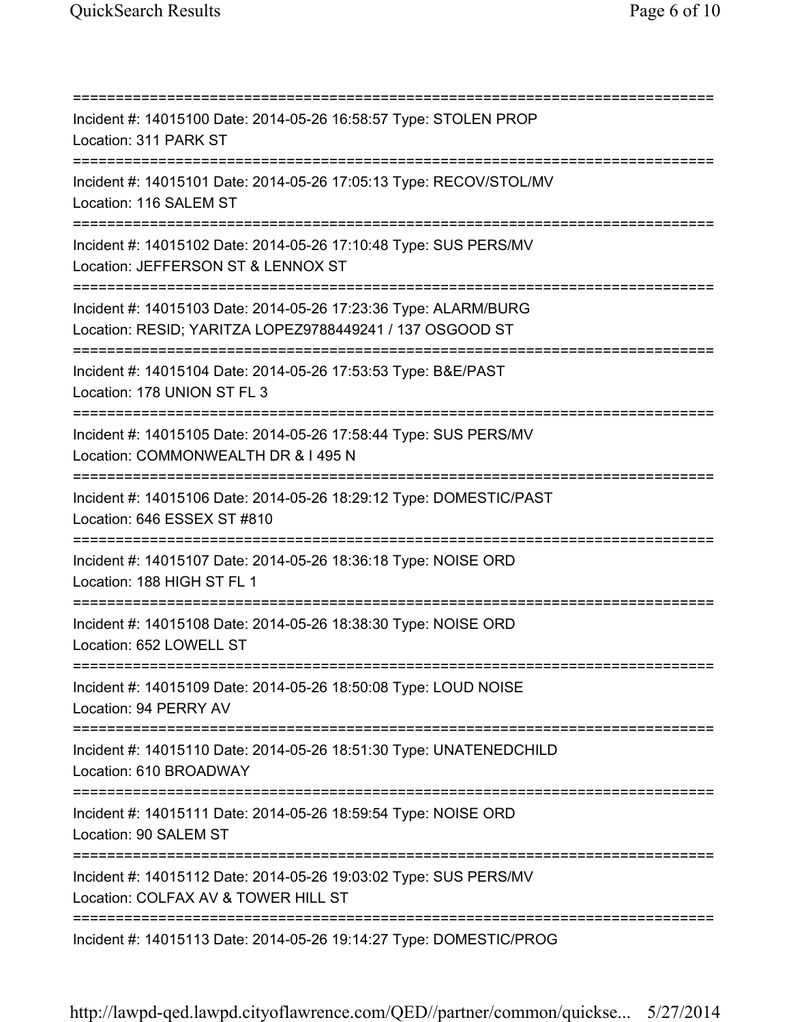=========================================================================== Incident #: 14015100 Date: 2014-05-26 16:58:57 Type: STOLEN PROP Location: 311 PARK ST =========================================================================== Incident #: 14015101 Date: 2014-05-26 17:05:13 Type: RECOV/STOL/MV Location: 116 SALEM ST =========================================================================== Incident #: 14015102 Date: 2014-05-26 17:10:48 Type: SUS PERS/MV Location: JEFFERSON ST & LENNOX ST =========================================================================== Incident #: 14015103 Date: 2014-05-26 17:23:36 Type: ALARM/BURG Location: RESID; YARITZA LOPEZ9788449241 / 137 OSGOOD ST =========================================================================== Incident #: 14015104 Date: 2014-05-26 17:53:53 Type: B&E/PAST Location: 178 UNION ST FL 3 =========================================================================== Incident #: 14015105 Date: 2014-05-26 17:58:44 Type: SUS PERS/MV Location: COMMONWEALTH DR & I 495 N =========================================================================== Incident #: 14015106 Date: 2014-05-26 18:29:12 Type: DOMESTIC/PAST Location: 646 ESSEX ST #810 =========================================================================== Incident #: 14015107 Date: 2014-05-26 18:36:18 Type: NOISE ORD Location: 188 HIGH ST FL 1 =========================================================================== Incident #: 14015108 Date: 2014-05-26 18:38:30 Type: NOISE ORD Location: 652 LOWELL ST =========================================================================== Incident #: 14015109 Date: 2014-05-26 18:50:08 Type: LOUD NOISE Location: 94 PERRY AV =========================================================================== Incident #: 14015110 Date: 2014-05-26 18:51:30 Type: UNATENEDCHILD Location: 610 BROADWAY =========================================================================== Incident #: 14015111 Date: 2014-05-26 18:59:54 Type: NOISE ORD Location: 90 SALEM ST =========================================================================== Incident #: 14015112 Date: 2014-05-26 19:03:02 Type: SUS PERS/MV Location: COLFAX AV & TOWER HILL ST =========================================================================== Incident #: 14015113 Date: 2014-05-26 19:14:27 Type: DOMESTIC/PROG

http://lawpd-qed.lawpd.cityoflawrence.com/QED//partner/common/quickse... 5/27/2014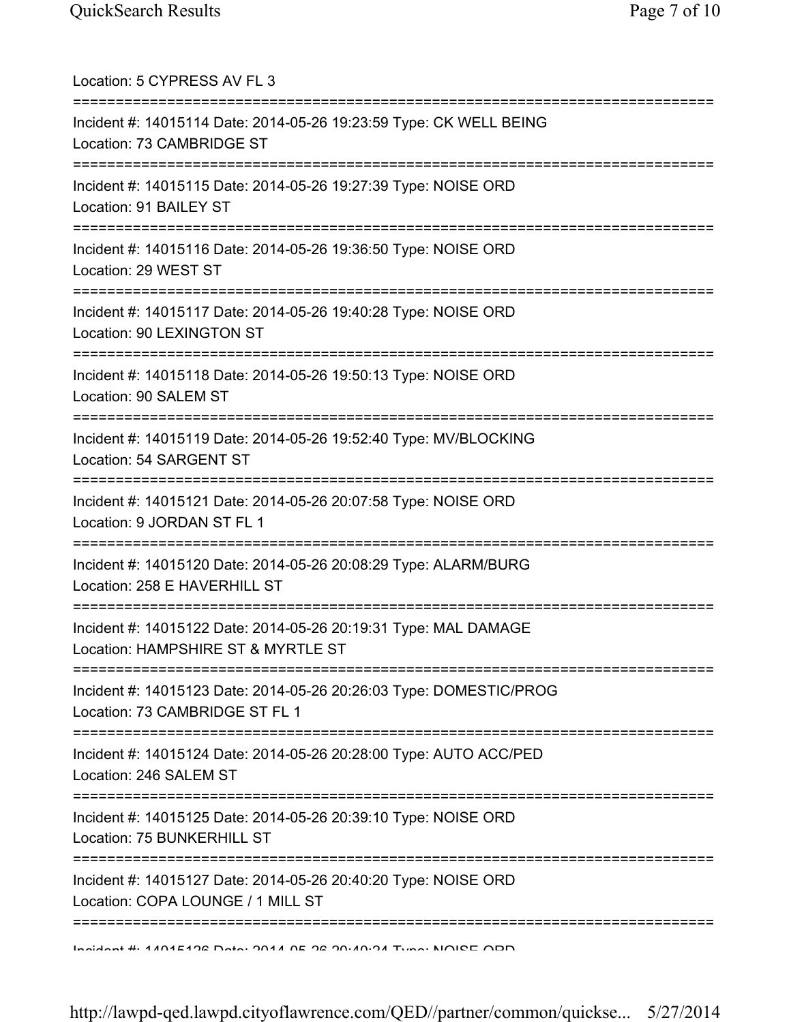| Location: 5 CYPRESS AV FL 3                                                                                                             |
|-----------------------------------------------------------------------------------------------------------------------------------------|
| Incident #: 14015114 Date: 2014-05-26 19:23:59 Type: CK WELL BEING<br>Location: 73 CAMBRIDGE ST                                         |
| Incident #: 14015115 Date: 2014-05-26 19:27:39 Type: NOISE ORD<br>Location: 91 BAILEY ST<br>=====================================       |
| Incident #: 14015116 Date: 2014-05-26 19:36:50 Type: NOISE ORD<br>Location: 29 WEST ST<br>=============================                 |
| Incident #: 14015117 Date: 2014-05-26 19:40:28 Type: NOISE ORD<br>Location: 90 LEXINGTON ST                                             |
| Incident #: 14015118 Date: 2014-05-26 19:50:13 Type: NOISE ORD<br>Location: 90 SALEM ST                                                 |
| :==========================<br>Incident #: 14015119 Date: 2014-05-26 19:52:40 Type: MV/BLOCKING<br>Location: 54 SARGENT ST              |
| Incident #: 14015121 Date: 2014-05-26 20:07:58 Type: NOISE ORD<br>Location: 9 JORDAN ST FL 1                                            |
| Incident #: 14015120 Date: 2014-05-26 20:08:29 Type: ALARM/BURG<br>Location: 258 E HAVERHILL ST                                         |
| Incident #: 14015122 Date: 2014-05-26 20:19:31 Type: MAL DAMAGE<br>Location: HAMPSHIRE ST & MYRTLE ST                                   |
| Incident #: 14015123 Date: 2014-05-26 20:26:03 Type: DOMESTIC/PROG<br>Location: 73 CAMBRIDGE ST FL 1                                    |
| =========================<br>===========<br>Incident #: 14015124 Date: 2014-05-26 20:28:00 Type: AUTO ACC/PED<br>Location: 246 SALEM ST |
| Incident #: 14015125 Date: 2014-05-26 20:39:10 Type: NOISE ORD<br>Location: 75 BUNKERHILL ST                                            |
| Incident #: 14015127 Date: 2014-05-26 20:40:20 Type: NOISE ORD<br>Location: COPA LOUNGE / 1 MILL ST                                     |
| :===========<br>Inaident #1 4 404 E402 Data: 0044 OE 02 00:40:04 Tune: NOIPE ODD                                                        |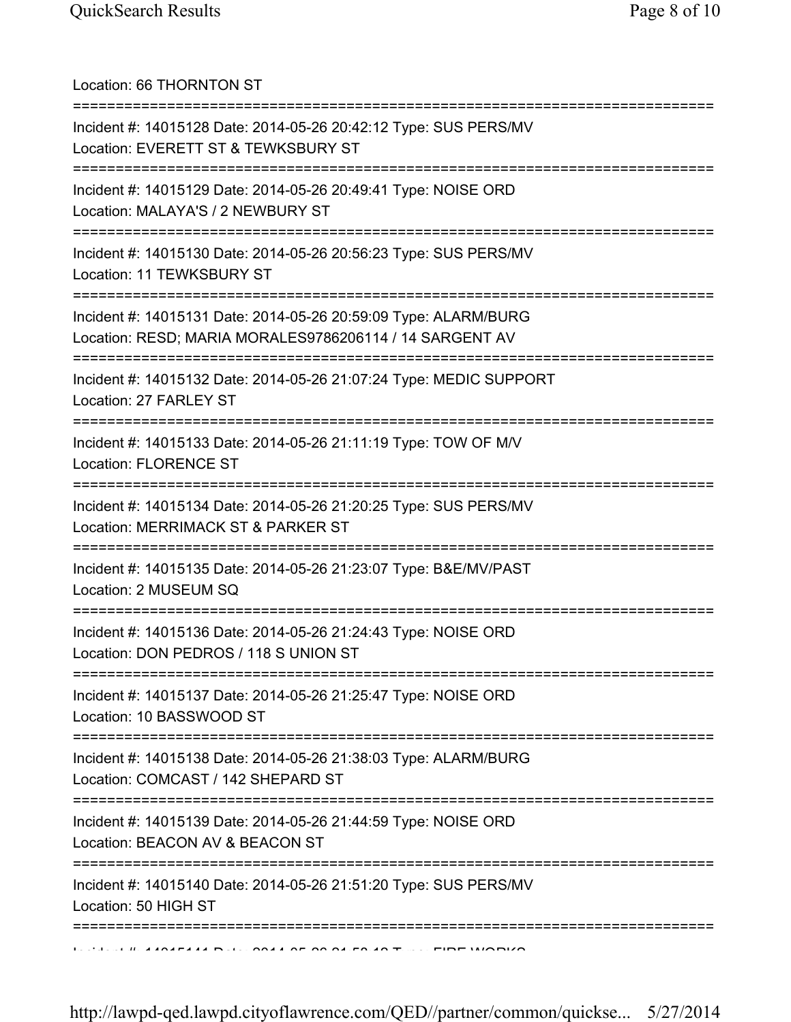| Location: 66 THORNTON ST                                                                                                       |
|--------------------------------------------------------------------------------------------------------------------------------|
| Incident #: 14015128 Date: 2014-05-26 20:42:12 Type: SUS PERS/MV<br>Location: EVERETT ST & TEWKSBURY ST                        |
| Incident #: 14015129 Date: 2014-05-26 20:49:41 Type: NOISE ORD<br>Location: MALAYA'S / 2 NEWBURY ST<br>;====================== |
| Incident #: 14015130 Date: 2014-05-26 20:56:23 Type: SUS PERS/MV<br>Location: 11 TEWKSBURY ST                                  |
| Incident #: 14015131 Date: 2014-05-26 20:59:09 Type: ALARM/BURG<br>Location: RESD; MARIA MORALES9786206114 / 14 SARGENT AV     |
| Incident #: 14015132 Date: 2014-05-26 21:07:24 Type: MEDIC SUPPORT<br>Location: 27 FARLEY ST                                   |
| Incident #: 14015133 Date: 2014-05-26 21:11:19 Type: TOW OF M/V<br><b>Location: FLORENCE ST</b>                                |
| ====================<br>Incident #: 14015134 Date: 2014-05-26 21:20:25 Type: SUS PERS/MV<br>Location: MERRIMACK ST & PARKER ST |
| Incident #: 14015135 Date: 2014-05-26 21:23:07 Type: B&E/MV/PAST<br>Location: 2 MUSEUM SQ                                      |
| Incident #: 14015136 Date: 2014-05-26 21:24:43 Type: NOISE ORD<br>Location: DON PEDROS / 118 S UNION ST                        |
| Incident #: 14015137 Date: 2014-05-26 21:25:47 Type: NOISE ORD<br>Location: 10 BASSWOOD ST                                     |
| Incident #: 14015138 Date: 2014-05-26 21:38:03 Type: ALARM/BURG<br>Location: COMCAST / 142 SHEPARD ST                          |
| Incident #: 14015139 Date: 2014-05-26 21:44:59 Type: NOISE ORD<br>Location: BEACON AV & BEACON ST                              |
| :==========<br>Incident #: 14015140 Date: 2014-05-26 21:51:20 Type: SUS PERS/MV<br>Location: 50 HIGH ST                        |
|                                                                                                                                |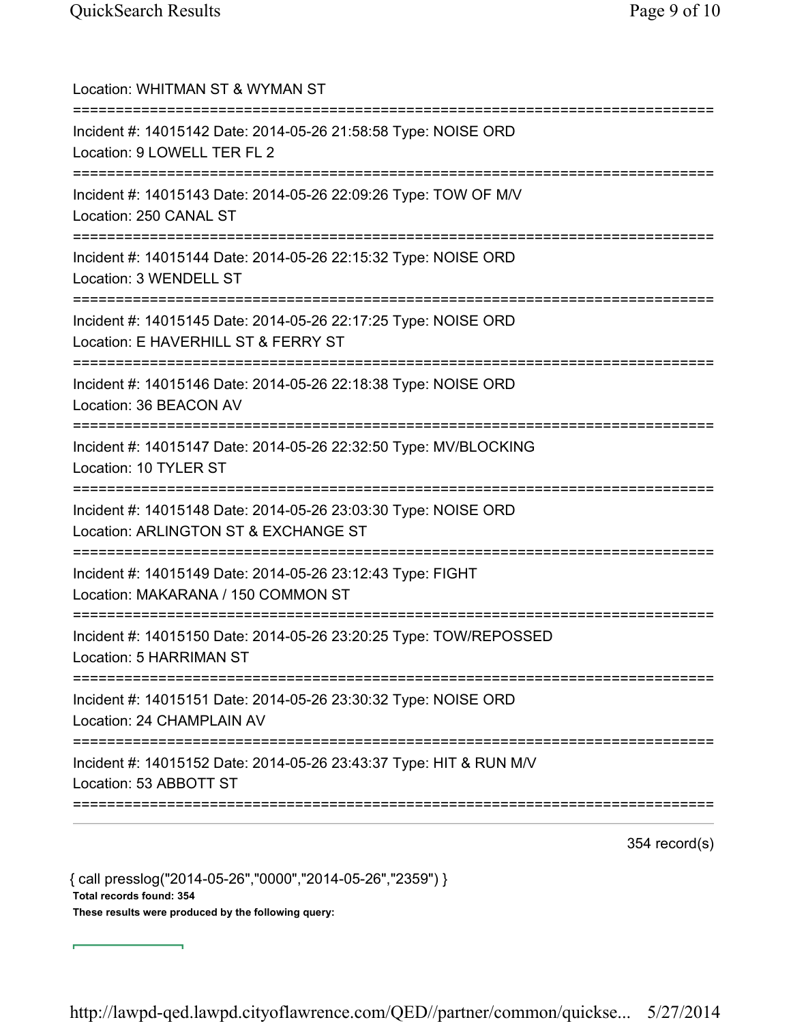| Location: WHITMAN ST & WYMAN ST                                                                              |
|--------------------------------------------------------------------------------------------------------------|
| Incident #: 14015142 Date: 2014-05-26 21:58:58 Type: NOISE ORD<br>Location: 9 LOWELL TER FL 2                |
| Incident #: 14015143 Date: 2014-05-26 22:09:26 Type: TOW OF M/V<br>Location: 250 CANAL ST                    |
| Incident #: 14015144 Date: 2014-05-26 22:15:32 Type: NOISE ORD<br>Location: 3 WENDELL ST<br>================ |
| Incident #: 14015145 Date: 2014-05-26 22:17:25 Type: NOISE ORD<br>Location: E HAVERHILL ST & FERRY ST        |
| Incident #: 14015146 Date: 2014-05-26 22:18:38 Type: NOISE ORD<br>Location: 36 BEACON AV                     |
| Incident #: 14015147 Date: 2014-05-26 22:32:50 Type: MV/BLOCKING<br>Location: 10 TYLER ST                    |
| Incident #: 14015148 Date: 2014-05-26 23:03:30 Type: NOISE ORD<br>Location: ARLINGTON ST & EXCHANGE ST       |
| Incident #: 14015149 Date: 2014-05-26 23:12:43 Type: FIGHT<br>Location: MAKARANA / 150 COMMON ST             |
| Incident #: 14015150 Date: 2014-05-26 23:20:25 Type: TOW/REPOSSED<br><b>Location: 5 HARRIMAN ST</b>          |
| Incident #: 14015151 Date: 2014-05-26 23:30:32 Type: NOISE ORD<br>Location: 24 CHAMPLAIN AV                  |
| Incident #: 14015152 Date: 2014-05-26 23:43:37 Type: HIT & RUN M/V<br>Location: 53 ABBOTT ST                 |
|                                                                                                              |

354 record(s)

{ call presslog("2014-05-26","0000","2014-05-26","2359") } Total records found: 354 These results were produced by the following query:

http://lawpd-qed.lawpd.cityoflawrence.com/QED//partner/common/quickse... 5/27/2014